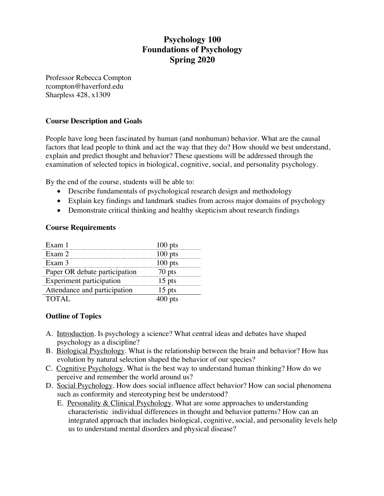## **Psychology 100 Foundations of Psychology Spring 2020**

Professor Rebecca Compton rcompton@haverford.edu Sharpless 428, x1309

## **Course Description and Goals**

People have long been fascinated by human (and nonhuman) behavior. What are the causal factors that lead people to think and act the way that they do? How should we best understand, explain and predict thought and behavior? These questions will be addressed through the examination of selected topics in biological, cognitive, social, and personality psychology.

By the end of the course, students will be able to:

- Describe fundamentals of psychological research design and methodology
- Explain key findings and landmark studies from across major domains of psychology
- Demonstrate critical thinking and healthy skepticism about research findings

## **Course Requirements**

| Exam 1                          |           |
|---------------------------------|-----------|
| Exam 2                          | 100 pts   |
| Exam $3$                        | $100$ pts |
| Paper OR debate participation   |           |
| <b>Experiment participation</b> | 15 pts    |
| Attendance and participation    | 15 pts    |
| <b>TOTAL</b>                    |           |

## **Outline of Topics**

- A. Introduction. Is psychology a science? What central ideas and debates have shaped psychology as a discipline?
- B. Biological Psychology. What is the relationship between the brain and behavior? How has evolution by natural selection shaped the behavior of our species?
- C. Cognitive Psychology. What is the best way to understand human thinking? How do we perceive and remember the world around us?
- D. Social Psychology. How does social influence affect behavior? How can social phenomena such as conformity and stereotyping best be understood?
	- E. Personality & Clinical Psychology. What are some approaches to understanding characteristic individual differences in thought and behavior patterns? How can an integrated approach that includes biological, cognitive, social, and personality levels help us to understand mental disorders and physical disease?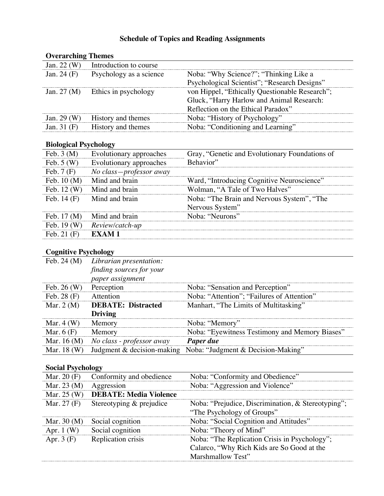# **Schedule of Topics and Reading Assignments**

| <b>Overarching Themes</b>   |                               |                                                    |  |  |  |
|-----------------------------|-------------------------------|----------------------------------------------------|--|--|--|
| Jan. 22 (W)                 | Introduction to course        |                                                    |  |  |  |
| Jan. $24$ (F)               | Psychology as a science       | Noba: "Why Science?"; "Thinking Like a             |  |  |  |
|                             |                               | Psychological Scientist"; "Research Designs"       |  |  |  |
| Jan. 27 (M)                 | Ethics in psychology          | von Hippel, "Ethically Questionable Research";     |  |  |  |
|                             |                               | Gluck, "Harry Harlow and Animal Research:          |  |  |  |
|                             |                               | Reflection on the Ethical Paradox"                 |  |  |  |
| Jan. 29 (W)                 | History and themes            | Noba: "History of Psychology"                      |  |  |  |
| Jan. 31 (F)                 | History and themes            | Noba: "Conditioning and Learning"                  |  |  |  |
|                             | <b>Biological Psychology</b>  |                                                    |  |  |  |
| Feb. $3(M)$                 | Evolutionary approaches       | Gray, "Genetic and Evolutionary Foundations of     |  |  |  |
| Feb. $5(W)$                 | Evolutionary approaches       | Behavior"                                          |  |  |  |
| Feb. $7(F)$                 | No class-professor away       |                                                    |  |  |  |
| Feb. 10 (M)                 | Mind and brain                | Ward, "Introducing Cognitive Neuroscience"         |  |  |  |
| Feb. 12 (W)                 | Mind and brain                | Wolman, "A Tale of Two Halves"                     |  |  |  |
| Feb. $14(F)$                | Mind and brain                | Noba: "The Brain and Nervous System", "The         |  |  |  |
|                             |                               | Nervous System"                                    |  |  |  |
| Feb. 17 (M)                 | Mind and brain                | Noba: "Neurons"                                    |  |  |  |
| Feb. 19 (W)                 | Review/catch-up               |                                                    |  |  |  |
| Feb. $21$ (F)               | <b>EXAM1</b>                  |                                                    |  |  |  |
|                             |                               |                                                    |  |  |  |
| <b>Cognitive Psychology</b> |                               |                                                    |  |  |  |
| Feb. 24 (M)                 | Librarian presentation:       |                                                    |  |  |  |
|                             | finding sources for your      |                                                    |  |  |  |
|                             | paper assignment              |                                                    |  |  |  |
| Feb. 26 (W)                 | Perception                    | Noba: "Sensation and Perception"                   |  |  |  |
| Feb. 28 (F)                 | Attention                     | Noba: "Attention"; "Failures of Attention"         |  |  |  |
| Mar. $2(M)$                 | <b>DEBATE: Distracted</b>     | Manhart, "The Limits of Multitasking"              |  |  |  |
|                             | <b>Driving</b>                |                                                    |  |  |  |
| Mar. $4(W)$                 | Memory                        | Noba: "Memory"                                     |  |  |  |
| Mar. $6(F)$                 | Memory                        | Noba: "Eyewitness Testimony and Memory Biases"     |  |  |  |
| Mar. 16 (M)                 | No class - professor away     | Paper due                                          |  |  |  |
| Mar. $18$ (W)               | Judgment & decision-making    | Noba: "Judgment & Decision-Making"                 |  |  |  |
| <b>Social Psychology</b>    |                               |                                                    |  |  |  |
| Mar. $20(F)$                | Conformity and obedience      | Noba: "Conformity and Obedience"                   |  |  |  |
| Mar. 23 (M)                 | Aggression                    | Noba: "Aggression and Violence"                    |  |  |  |
| Mar. 25 (W)                 | <b>DEBATE: Media Violence</b> |                                                    |  |  |  |
| Mar. $27(F)$                | Stereotyping & prejudice      | Noba: "Prejudice, Discrimination, & Stereotyping"; |  |  |  |
|                             |                               | "The Psychology of Groups"                         |  |  |  |
| Mar. 30 (M)                 | Social cognition              | Noba: "Social Cognition and Attitudes"             |  |  |  |
| Apr. $1$ (W)                | Social cognition              | Noba: "Theory of Mind"                             |  |  |  |
| Apr. $3(F)$                 | Replication crisis            | Noba: "The Replication Crisis in Psychology";      |  |  |  |
|                             |                               | Calarco, "Why Rich Kids are So Good at the         |  |  |  |
|                             |                               | Marshmallow Test"                                  |  |  |  |
|                             |                               |                                                    |  |  |  |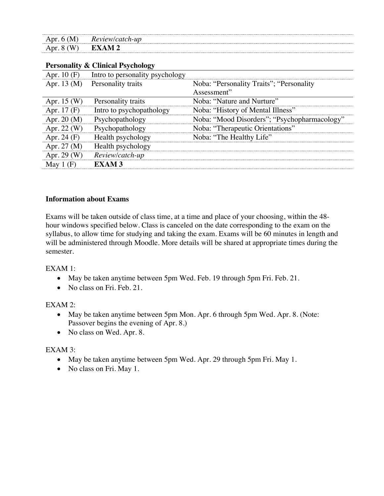| M<br>Apr<br>n. | Review/<br>/catch-up |
|----------------|----------------------|
| W<br>Apr       | <b>EVAM 2</b>        |

## **Personality & Clinical Psychology**

| Apr. $10(F)$     | Intro to personality psychology |                                              |
|------------------|---------------------------------|----------------------------------------------|
| Apr. 13 $(M)$    | Personality traits              | Noba: "Personality Traits"; "Personality     |
|                  |                                 | Assessment"                                  |
| Apr. $15(W)$     | Personality traits              | Noba: "Nature and Nurture"                   |
| Apr. $17(F)$     | Intro to psychopathology        | Noba: "History of Mental Illness"            |
| Apr. $20(M)$     | Psychopathology                 | Noba: "Mood Disorders"; "Psychopharmacology" |
| Apr. $22 \, (W)$ | Psychopathology                 | Noba: "Therapeutic Orientations"             |
| Apr. 24 $(F)$    | Health psychology               | Noba: "The Healthy Life"                     |
| Apr. $27 \, (M)$ | Health psychology               |                                              |
| Apr. 29 (W)      | Review/catch-up                 |                                              |
| May $1(F)$       | <b>EXAM3</b>                    |                                              |
|                  |                                 |                                              |

### **Information about Exams**

Exams will be taken outside of class time, at a time and place of your choosing, within the 48 hour windows specified below. Class is canceled on the date corresponding to the exam on the syllabus, to allow time for studying and taking the exam. Exams will be 60 minutes in length and will be administered through Moodle. More details will be shared at appropriate times during the semester.

### EXAM 1:

- May be taken anytime between 5pm Wed. Feb. 19 through 5pm Fri. Feb. 21.
- No class on Fri. Feb. 21.

## EXAM 2:

- May be taken anytime between 5pm Mon. Apr. 6 through 5pm Wed. Apr. 8. (Note: Passover begins the evening of Apr. 8.)
- No class on Wed. Apr. 8.

### EXAM 3:

- May be taken anytime between 5pm Wed. Apr. 29 through 5pm Fri. May 1.
- No class on Fri. May 1.